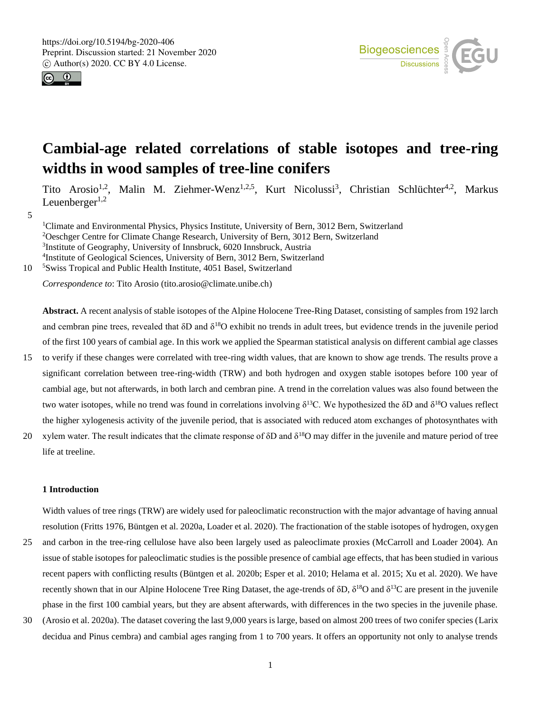



# **Cambial-age related correlations of stable isotopes and tree-ring widths in wood samples of tree-line conifers**

Tito Arosio<sup>1,2</sup>, Malin M. Ziehmer-Wenz<sup>1,2,5</sup>, Kurt Nicolussi<sup>3</sup>, Christian Schlüchter<sup>4,2</sup>, Markus Leuenberger $1,2$ 

5

Climate and Environmental Physics, Physics Institute, University of Bern, 3012 Bern, Switzerland Oeschger Centre for Climate Change Research, University of Bern, 3012 Bern, Switzerland Institute of Geography, University of Innsbruck, 6020 Innsbruck, Austria Institute of Geological Sciences, University of Bern, 3012 Bern, Switzerland 10 <sup>5</sup> Swiss Tropical and Public Health Institute, 4051 Basel, Switzerland

*Correspondence to*: Tito Arosio (tito.arosio@climate.unibe.ch)

**Abstract.** A recent analysis of stable isotopes of the Alpine Holocene Tree-Ring Dataset, consisting of samples from 192 larch and cembran pine trees, revealed that  $\delta D$  and  $\delta^{18}O$  exhibit no trends in adult trees, but evidence trends in the juvenile period of the first 100 years of cambial age. In this work we applied the Spearman statistical analysis on different cambial age classes

- 15 to verify if these changes were correlated with tree-ring width values, that are known to show age trends. The results prove a significant correlation between tree-ring-width (TRW) and both hydrogen and oxygen stable isotopes before 100 year of cambial age, but not afterwards, in both larch and cembran pine. A trend in the correlation values was also found between the two water isotopes, while no trend was found in correlations involving  $\delta^{13}C$ . We hypothesized the δD and  $\delta^{18}O$  values reflect the higher xylogenesis activity of the juvenile period, that is associated with reduced atom exchanges of photosynthates with
- 20 xylem water. The result indicates that the climate response of  $\delta$ D and  $\delta^{18}$ O may differ in the juvenile and mature period of tree life at treeline.

## **1 Introduction**

Width values of tree rings (TRW) are widely used for paleoclimatic reconstruction with the major advantage of having annual resolution (Fritts 1976, Büntgen et al. 2020a, Loader et al. 2020). The fractionation of the stable isotopes of hydrogen, oxygen

- 25 and carbon in the tree-ring cellulose have also been largely used as paleoclimate proxies (McCarroll and Loader 2004). An issue of stable isotopes for paleoclimatic studies is the possible presence of cambial age effects, that has been studied in various recent papers with conflicting results (Büntgen et al. 2020b; Esper et al. 2010; Helama et al. 2015; Xu et al. 2020). We have recently shown that in our Alpine Holocene Tree Ring Dataset, the age-trends of  $\delta D$ ,  $\delta^{18}O$  and  $\delta^{13}C$  are present in the juvenile phase in the first 100 cambial years, but they are absent afterwards, with differences in the two species in the juvenile phase.
- 30 (Arosio et al. 2020a). The dataset covering the last 9,000 years is large, based on almost 200 trees of two conifer species (Larix decidua and Pinus cembra) and cambial ages ranging from 1 to 700 years. It offers an opportunity not only to analyse trends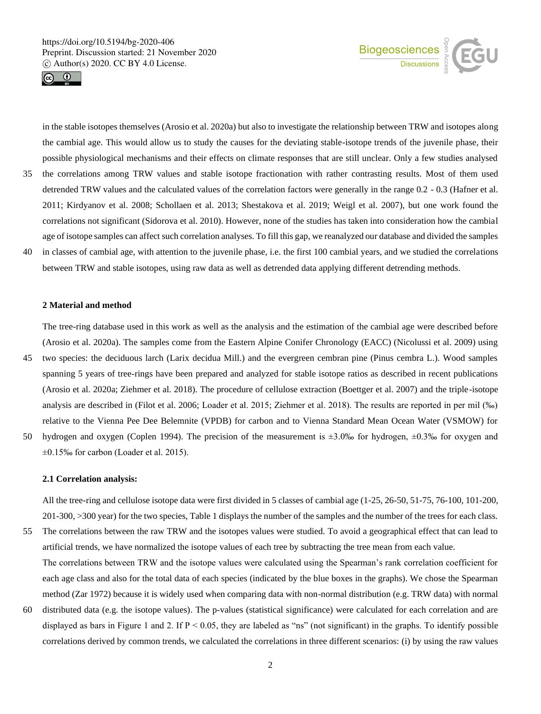



in the stable isotopes themselves (Arosio et al. 2020a) but also to investigate the relationship between TRW and isotopes along the cambial age. This would allow us to study the causes for the deviating stable-isotope trends of the juvenile phase, their possible physiological mechanisms and their effects on climate responses that are still unclear. Only a few studies analysed 35 the correlations among TRW values and stable isotope fractionation with rather contrasting results. Most of them used detrended TRW values and the calculated values of the correlation factors were generally in the range 0.2 - 0.3 (Hafner et al. 2011; Kirdyanov et al. 2008; Schollaen et al. 2013; Shestakova et al. 2019; Weigl et al. 2007), but one work found the correlations not significant (Sidorova et al. 2010). However, none of the studies has taken into consideration how the cambial age of isotope samples can affect such correlation analyses. To fill this gap, we reanalyzed our database and divided the samples 40 in classes of cambial age, with attention to the juvenile phase, i.e. the first 100 cambial years, and we studied the correlations between TRW and stable isotopes, using raw data as well as detrended data applying different detrending methods.

#### **2 Material and method**

The tree-ring database used in this work as well as the analysis and the estimation of the cambial age were described before (Arosio et al. 2020a). The samples come from the Eastern Alpine Conifer Chronology (EACC) (Nicolussi et al. 2009) using

- 45 two species: the deciduous larch (Larix decidua Mill.) and the evergreen cembran pine (Pinus cembra L.). Wood samples spanning 5 years of tree-rings have been prepared and analyzed for stable isotope ratios as described in recent publications (Arosio et al. 2020a; Ziehmer et al. 2018). The procedure of cellulose extraction (Boettger et al. 2007) and the triple-isotope analysis are described in (Filot et al. 2006; Loader et al. 2015; Ziehmer et al. 2018). The results are reported in per mil (‰) relative to the Vienna Pee Dee Belemnite (VPDB) for carbon and to Vienna Standard Mean Ocean Water (VSMOW) for 50 hydrogen and oxygen (Coplen 1994). The precision of the measurement is ±3.0‰ for hydrogen, ±0.3‰ for oxygen and
- ±0.15‰ for carbon (Loader et al. 2015).

#### **2.1 Correlation analysis:**

All the tree-ring and cellulose isotope data were first divided in 5 classes of cambial age (1-25, 26-50, 51-75, 76-100, 101-200, 201-300, >300 year) for the two species, Table 1 displays the number of the samples and the number of the trees for each class.

- 55 The correlations between the raw TRW and the isotopes values were studied. To avoid a geographical effect that can lead to artificial trends, we have normalized the isotope values of each tree by subtracting the tree mean from each value. The correlations between TRW and the isotope values were calculated using the Spearman's rank correlation coefficient for each age class and also for the total data of each species (indicated by the blue boxes in the graphs). We chose the Spearman method (Zar 1972) because it is widely used when comparing data with non-normal distribution (e.g. TRW data) with normal
- 60 distributed data (e.g. the isotope values). The p-values (statistical significance) were calculated for each correlation and are displayed as bars in Figure 1 and 2. If  $P < 0.05$ , they are labeled as "ns" (not significant) in the graphs. To identify possible correlations derived by common trends, we calculated the correlations in three different scenarios: (i) by using the raw values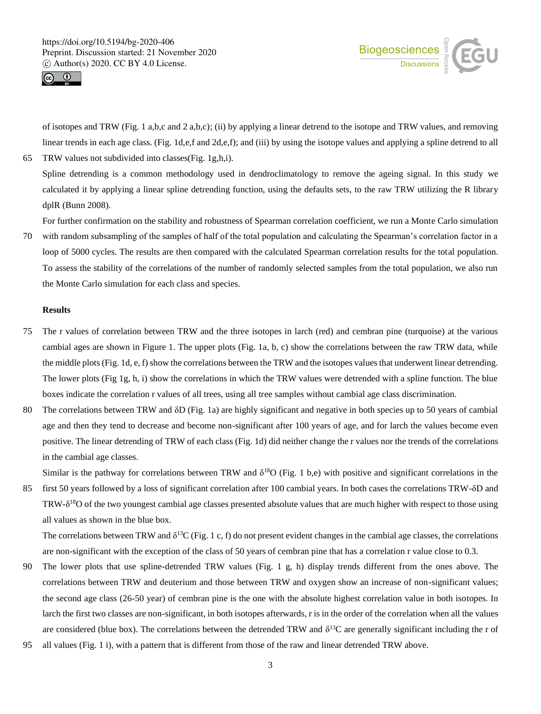



of isotopes and TRW (Fig. 1 a,b,c and 2 a,b,c); (ii) by applying a linear detrend to the isotope and TRW values, and removing linear trends in each age class. (Fig. 1d,e,f and 2d,e,f); and (iii) by using the isotope values and applying a spline detrend to all

65 TRW values not subdivided into classes(Fig. 1g,h,i).

Spline detrending is a common methodology used in dendroclimatology to remove the ageing signal. In this study we calculated it by applying a linear spline detrending function, using the defaults sets, to the raw TRW utilizing the R library dplR (Bunn 2008).

For further confirmation on the stability and robustness of Spearman correlation coefficient, we run a Monte Carlo simulation

70 with random subsampling of the samples of half of the total population and calculating the Spearman's correlation factor in a loop of 5000 cycles. The results are then compared with the calculated Spearman correlation results for the total population. To assess the stability of the correlations of the number of randomly selected samples from the total population, we also run the Monte Carlo simulation for each class and species.

## **Results**

- 75 The r values of correlation between TRW and the three isotopes in larch (red) and cembran pine (turquoise) at the various cambial ages are shown in Figure 1. The upper plots (Fig. 1a, b, c) show the correlations between the raw TRW data, while the middle plots (Fig. 1d, e, f) show the correlations between the TRW and the isotopes values that underwent linear detrending. The lower plots (Fig 1g, h, i) show the correlations in which the TRW values were detrended with a spline function. The blue boxes indicate the correlation r values of all trees, using all tree samples without cambial age class discrimination.
- 80 The correlations between TRW and δD (Fig. 1a) are highly significant and negative in both species up to 50 years of cambial age and then they tend to decrease and become non-significant after 100 years of age, and for larch the values become even positive. The linear detrending of TRW of each class (Fig. 1d) did neither change the r values nor the trends of the correlations in the cambial age classes.

Similar is the pathway for correlations between TRW and  $\delta^{18}O$  (Fig. 1 b,e) with positive and significant correlations in the

85 first 50 years followed by a loss of significant correlation after 100 cambial years. In both cases the correlations TRW-δD and TRW- $\delta^{18}$ O of the two youngest cambial age classes presented absolute values that are much higher with respect to those using all values as shown in the blue box.

The correlations between TRW and  $\delta^{13}C$  (Fig. 1 c, f) do not present evident changes in the cambial age classes, the correlations are non-significant with the exception of the class of 50 years of cembran pine that has a correlation r value close to 0.3.

- 90 The lower plots that use spline-detrended TRW values (Fig. 1 g, h) display trends different from the ones above. The correlations between TRW and deuterium and those between TRW and oxygen show an increase of non-significant values; the second age class (26-50 year) of cembran pine is the one with the absolute highest correlation value in both isotopes. In larch the first two classes are non-significant, in both isotopes afterwards, r is in the order of the correlation when all the values are considered (blue box). The correlations between the detrended TRW and  $\delta^{13}C$  are generally significant including the r of
- 95 all values (Fig. 1 i), with a pattern that is different from those of the raw and linear detrended TRW above.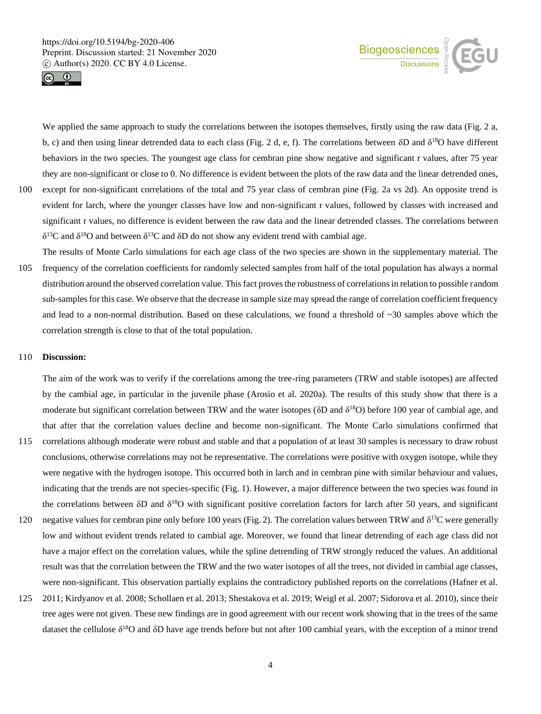

![](_page_3_Picture_2.jpeg)

We applied the same approach to study the correlations between the isotopes themselves, firstly using the raw data (Fig. 2 a, b, c) and then using linear detrended data to each class (Fig. 2 d, e, f). The correlations between  $\delta D$  and  $\delta^{18}O$  have different behaviors in the two species. The youngest age class for cembran pine show negative and significant r values, after 75 year they are non-significant or close to 0. No difference is evident between the plots of the raw data and the linear detrended ones,

- 100 except for non-significant correlations of the total and 75 year class of cembran pine (Fig. 2a vs 2d). An opposite trend is evident for larch, where the younger classes have low and non-significant r values, followed by classes with increased and significant r values, no difference is evident between the raw data and the linear detrended classes. The correlations between  $δ<sup>13</sup>C$  and  $δ<sup>18</sup>O$  and between  $δ<sup>13</sup>C$  and  $δD$  do not show any evident trend with cambial age.
- The results of Monte Carlo simulations for each age class of the two species are shown in the supplementary material. The 105 frequency of the correlation coefficients for randomly selected samples from half of the total population has always a normal distribution around the observed correlation value. This fact proves the robustness of correlations in relation to possible random sub-samples for this case. We observe that the decrease in sample size may spread the range of correlation coefficient frequency and lead to a non-normal distribution. Based on these calculations, we found a threshold of  $\sim$ 30 samples above which the correlation strength is close to that of the total population.

#### 110 **Discussion:**

The aim of the work was to verify if the correlations among the tree-ring parameters (TRW and stable isotopes) are affected by the cambial age, in particular in the juvenile phase (Arosio et al. 2020a). The results of this study show that there is a moderate but significant correlation between TRW and the water isotopes (δD and δ<sup>18</sup>O) before 100 year of cambial age, and that after that the correlation values decline and become non-significant. The Monte Carlo simulations confirmed that

- 115 correlations although moderate were robust and stable and that a population of at least 30 samples is necessary to draw robust conclusions, otherwise correlations may not be representative. The correlations were positive with oxygen isotope, while they were negative with the hydrogen isotope. This occurred both in larch and in cembran pine with similar behaviour and values, indicating that the trends are not species-specific (Fig. 1). However, a major difference between the two species was found in the correlations between  $\delta D$  and  $\delta^{18}O$  with significant positive correlation factors for larch after 50 years, and significant
- 120 negative values for cembran pine only before 100 years (Fig. 2). The correlation values between TRW and  $\delta^{13}$ C were generally low and without evident trends related to cambial age. Moreover, we found that linear detrending of each age class did not have a major effect on the correlation values, while the spline detrending of TRW strongly reduced the values. An additional result was that the correlation between the TRW and the two water isotopes of all the trees, not divided in cambial age classes, were non-significant. This observation partially explains the contradictory published reports on the correlations (Hafner et al.
- 125 2011; Kirdyanov et al. 2008; Schollaen et al. 2013; Shestakova et al. 2019; Weigl et al. 2007; Sidorova et al. 2010), since their tree ages were not given. These new findings are in good agreement with our recent work showing that in the trees of the same dataset the cellulose  $\delta^{18}O$  and  $\delta D$  have age trends before but not after 100 cambial years, with the exception of a minor trend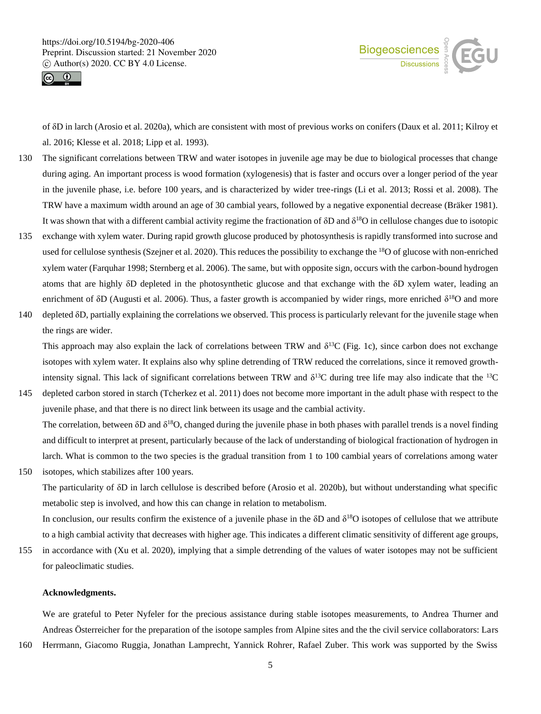![](_page_4_Picture_1.jpeg)

![](_page_4_Picture_2.jpeg)

of δD in larch (Arosio et al. 2020a), which are consistent with most of previous works on conifers (Daux et al. 2011; Kilroy et al. 2016; Klesse et al. 2018; Lipp et al. 1993).

- 130 The significant correlations between TRW and water isotopes in juvenile age may be due to biological processes that change during aging. An important process is wood formation (xylogenesis) that is faster and occurs over a longer period of the year in the juvenile phase, i.e. before 100 years, and is characterized by wider tree-rings (Li et al. 2013; Rossi et al. 2008). The TRW have a maximum width around an age of 30 cambial years, followed by a negative exponential decrease (Bräker 1981). It was shown that with a different cambial activity regime the fractionation of  $\delta D$  and  $\delta^{18}O$  in cellulose changes due to isotopic
- 135 exchange with xylem water. During rapid growth glucose produced by photosynthesis is rapidly transformed into sucrose and used for cellulose synthesis (Szejner et al. 2020). This reduces the possibility to exchange the <sup>18</sup>O of glucose with non-enriched xylem water (Farquhar 1998; Sternberg et al. 2006). The same, but with opposite sign, occurs with the carbon-bound hydrogen atoms that are highly δD depleted in the photosynthetic glucose and that exchange with the δD xylem water, leading an enrichment of  $\delta D$  (Augusti et al. 2006). Thus, a faster growth is accompanied by wider rings, more enriched  $\delta^{18}O$  and more
- 140 depleted δD, partially explaining the correlations we observed. This process is particularly relevant for the juvenile stage when the rings are wider.

This approach may also explain the lack of correlations between TRW and  $\delta^{13}C$  (Fig. 1c), since carbon does not exchange isotopes with xylem water. It explains also why spline detrending of TRW reduced the correlations, since it removed growthintensity signal. This lack of significant correlations between TRW and  $\delta^{13}C$  during tree life may also indicate that the  $^{13}C$ 

145 depleted carbon stored in starch (Tcherkez et al. 2011) does not become more important in the adult phase with respect to the juvenile phase, and that there is no direct link between its usage and the cambial activity. The correlation, between  $\delta D$  and  $\delta^{18}O$ , changed during the juvenile phase in both phases with parallel trends is a novel finding and difficult to interpret at present, particularly because of the lack of understanding of biological fractionation of hydrogen in larch. What is common to the two species is the gradual transition from 1 to 100 cambial years of correlations among water

150 isotopes, which stabilizes after 100 years.

The particularity of δD in larch cellulose is described before (Arosio et al. 2020b), but without understanding what specific metabolic step is involved, and how this can change in relation to metabolism.

In conclusion, our results confirm the existence of a juvenile phase in the  $\delta D$  and  $\delta^{18}O$  isotopes of cellulose that we attribute to a high cambial activity that decreases with higher age. This indicates a different climatic sensitivity of different age groups,

155 in accordance with (Xu et al. 2020), implying that a simple detrending of the values of water isotopes may not be sufficient for paleoclimatic studies.

# **Acknowledgments.**

We are grateful to Peter Nyfeler for the precious assistance during stable isotopes measurements, to Andrea Thurner and Andreas Österreicher for the preparation of the isotope samples from Alpine sites and the the civil service collaborators: Lars

160 Herrmann, Giacomo Ruggia, Jonathan Lamprecht, Yannick Rohrer, Rafael Zuber. This work was supported by the Swiss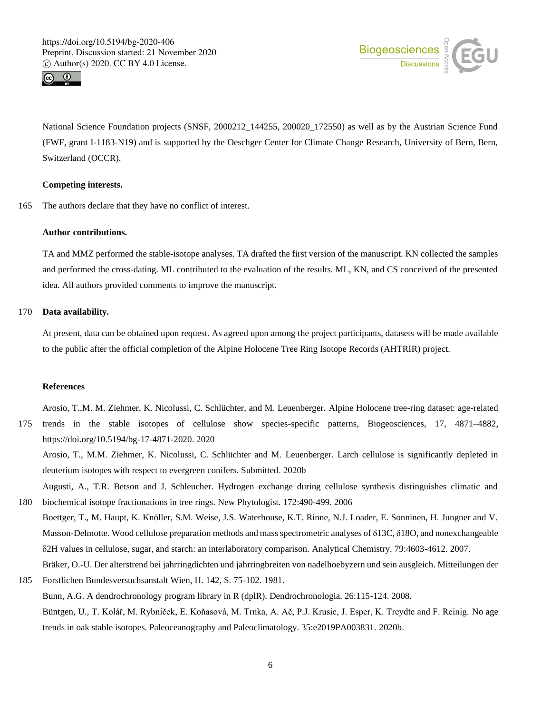![](_page_5_Picture_1.jpeg)

![](_page_5_Picture_2.jpeg)

National Science Foundation projects (SNSF, 2000212 144255, 200020 172550) as well as by the Austrian Science Fund (FWF, grant I-1183-N19) and is supported by the Oeschger Center for Climate Change Research, University of Bern, Bern, Switzerland (OCCR).

## **Competing interests.**

165 The authors declare that they have no conflict of interest.

#### **Author contributions.**

TA and MMZ performed the stable-isotope analyses. TA drafted the first version of the manuscript. KN collected the samples and performed the cross-dating. ML contributed to the evaluation of the results. ML, KN, and CS conceived of the presented idea. All authors provided comments to improve the manuscript.

# 170 **Data availability.**

At present, data can be obtained upon request. As agreed upon among the project participants, datasets will be made available to the public after the official completion of the Alpine Holocene Tree Ring Isotope Records (AHTRIR) project.

#### **References**

Arosio, T.,M. M. Ziehmer, K. Nicolussi, C. Schlüchter, and M. Leuenberger. Alpine Holocene tree-ring dataset: age-related 175 trends in the stable isotopes of cellulose show species-specific patterns, Biogeosciences, 17, 4871–4882, https://doi.org/10.5194/bg-17-4871-2020. 2020

Arosio, T., M.M. Ziehmer, K. Nicolussi, C. Schlüchter and M. Leuenberger. Larch cellulose is significantly depleted in deuterium isotopes with respect to evergreen conifers. Submitted. 2020b

Augusti, A., T.R. Betson and J. Schleucher. Hydrogen exchange during cellulose synthesis distinguishes climatic and 180 biochemical isotope fractionations in tree rings. New Phytologist. 172:490-499. 2006

Boettger, T., M. Haupt, K. Knöller, S.M. Weise, J.S. Waterhouse, K.T. Rinne, N.J. Loader, E. Sonninen, H. Jungner and V. Masson-Delmotte. Wood cellulose preparation methods and mass spectrometric analyses of δ13C, δ18O, and nonexchangeable δ2H values in cellulose, sugar, and starch: an interlaboratory comparison. Analytical Chemistry. 79:4603-4612. 2007.

Bräker, O.-U. Der alterstrend bei jahrringdichten und jahrringbreiten von nadelhoebyzern und sein ausgleich. Mitteilungen der 185 Forstlichen Bundesversuchsanstalt Wien, H. 142, S. 75-102. 1981.

Bunn, A.G. A dendrochronology program library in R (dplR). Dendrochronologia. 26:115-124. 2008. Büntgen, U., T. Kolář, M. Rybníček, E. Koňasová, M. Trnka, A. Ač, P.J. Krusic, J. Esper, K. Treydte and F. Reinig. No age

trends in oak stable isotopes. Paleoceanography and Paleoclimatology. 35:e2019PA003831. 2020b.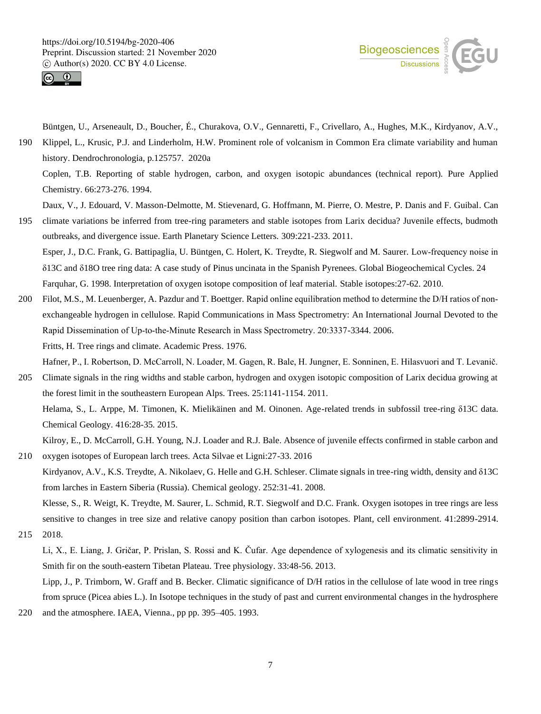![](_page_6_Picture_1.jpeg)

![](_page_6_Picture_2.jpeg)

Büntgen, U., Arseneault, D., Boucher, É., Churakova, O.V., Gennaretti, F., Crivellaro, A., Hughes, M.K., Kirdyanov, A.V.,

190 Klippel, L., Krusic, P.J. and Linderholm, H.W. Prominent role of volcanism in Common Era climate variability and human history. Dendrochronologia, p.125757. 2020a Coplen, T.B. Reporting of stable hydrogen, carbon, and oxygen isotopic abundances (technical report). Pure Applied Chemistry. 66:273-276. 1994.

Daux, V., J. Edouard, V. Masson-Delmotte, M. Stievenard, G. Hoffmann, M. Pierre, O. Mestre, P. Danis and F. Guibal. Can

- 195 climate variations be inferred from tree-ring parameters and stable isotopes from Larix decidua? Juvenile effects, budmoth outbreaks, and divergence issue. Earth Planetary Science Letters. 309:221-233. 2011. Esper, J., D.C. Frank, G. Battipaglia, U. Büntgen, C. Holert, K. Treydte, R. Siegwolf and M. Saurer. Low‐frequency noise in δ13C and δ18O tree ring data: A case study of Pinus uncinata in the Spanish Pyrenees. Global Biogeochemical Cycles. 24 Farquhar, G. 1998. Interpretation of oxygen isotope composition of leaf material. Stable isotopes:27-62. 2010.
- 200 Filot, M.S., M. Leuenberger, A. Pazdur and T. Boettger. Rapid online equilibration method to determine the D/H ratios of non‐ exchangeable hydrogen in cellulose. Rapid Communications in Mass Spectrometry: An International Journal Devoted to the Rapid Dissemination of Up‐to‐the‐Minute Research in Mass Spectrometry. 20:3337-3344. 2006. Fritts, H. Tree rings and climate. Academic Press. 1976. Hafner, P., I. Robertson, D. McCarroll, N. Loader, M. Gagen, R. Bale, H. Jungner, E. Sonninen, E. Hilasvuori and T. Levanič.
- 205 Climate signals in the ring widths and stable carbon, hydrogen and oxygen isotopic composition of Larix decidua growing at the forest limit in the southeastern European Alps. Trees. 25:1141-1154. 2011. Helama, S., L. Arppe, M. Timonen, K. Mielikäinen and M. Oinonen. Age-related trends in subfossil tree-ring δ13C data. Chemical Geology. 416:28-35. 2015.
- Kilroy, E., D. McCarroll, G.H. Young, N.J. Loader and R.J. Bale. Absence of juvenile effects confirmed in stable carbon and 210 oxygen isotopes of European larch trees. Acta Silvae et Ligni:27-33. 2016
	- Kirdyanov, A.V., K.S. Treydte, A. Nikolaev, G. Helle and G.H. Schleser. Climate signals in tree-ring width, density and δ13C from larches in Eastern Siberia (Russia). Chemical geology. 252:31-41. 2008.

Klesse, S., R. Weigt, K. Treydte, M. Saurer, L. Schmid, R.T. Siegwolf and D.C. Frank. Oxygen isotopes in tree rings are less sensitive to changes in tree size and relative canopy position than carbon isotopes. Plant, cell environment. 41:2899-2914.

215 2018.

Li, X., E. Liang, J. Gričar, P. Prislan, S. Rossi and K. Čufar. Age dependence of xylogenesis and its climatic sensitivity in Smith fir on the south-eastern Tibetan Plateau. Tree physiology. 33:48-56. 2013.

Lipp, J., P. Trimborn, W. Graff and B. Becker. Climatic significance of D/H ratios in the cellulose of late wood in tree rings from spruce (Picea abies L.). In Isotope techniques in the study of past and current environmental changes in the hydrosphere 220 and the atmosphere. IAEA, Vienna., pp pp. 395–405. 1993.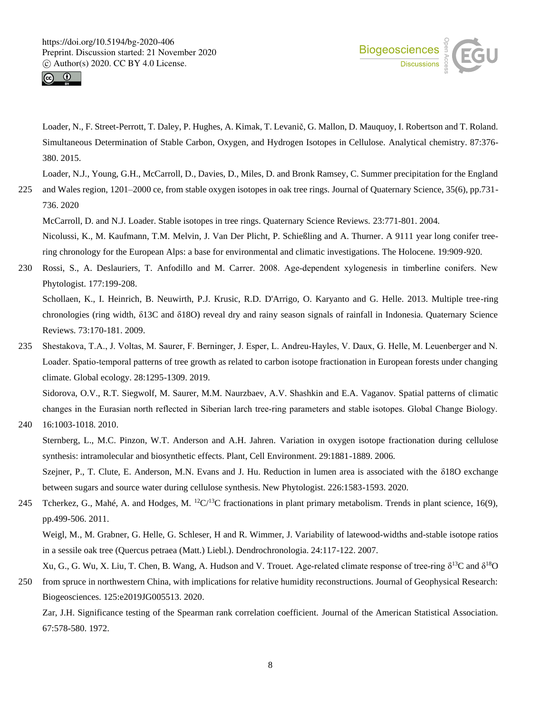![](_page_7_Picture_1.jpeg)

![](_page_7_Picture_2.jpeg)

Loader, N., F. Street-Perrott, T. Daley, P. Hughes, A. Kimak, T. Levanič, G. Mallon, D. Mauquoy, I. Robertson and T. Roland. Simultaneous Determination of Stable Carbon, Oxygen, and Hydrogen Isotopes in Cellulose. Analytical chemistry. 87:376- 380. 2015.

Loader, N.J., Young, G.H., McCarroll, D., Davies, D., Miles, D. and Bronk Ramsey, C. Summer precipitation for the England

225 and Wales region, 1201–2000 ce, from stable oxygen isotopes in oak tree rings. Journal of Quaternary Science, 35(6), pp.731- 736. 2020

McCarroll, D. and N.J. Loader. Stable isotopes in tree rings. Quaternary Science Reviews. 23:771-801. 2004.

Nicolussi, K., M. Kaufmann, T.M. Melvin, J. Van Der Plicht, P. Schießling and A. Thurner. A 9111 year long conifer treering chronology for the European Alps: a base for environmental and climatic investigations. The Holocene. 19:909-920.

230 Rossi, S., A. Deslauriers, T. Anfodillo and M. Carrer. 2008. Age‐dependent xylogenesis in timberline conifers. New Phytologist. 177:199-208.

Schollaen, K., I. Heinrich, B. Neuwirth, P.J. Krusic, R.D. D'Arrigo, O. Karyanto and G. Helle. 2013. Multiple tree-ring chronologies (ring width, δ13C and δ18O) reveal dry and rainy season signals of rainfall in Indonesia. Quaternary Science Reviews. 73:170-181. 2009.

235 Shestakova, T.A., J. Voltas, M. Saurer, F. Berninger, J. Esper, L. Andreu‐Hayles, V. Daux, G. Helle, M. Leuenberger and N. Loader. Spatio-temporal patterns of tree growth as related to carbon isotope fractionation in European forests under changing climate. Global ecology. 28:1295-1309. 2019.

Sidorova, O.V., R.T. Siegwolf, M. Saurer, M.M. Naurzbaev, A.V. Shashkin and E.A. Vaganov. Spatial patterns of climatic changes in the Eurasian north reflected in Siberian larch tree‐ring parameters and stable isotopes. Global Change Biology.

240 16:1003-1018. 2010.

Sternberg, L., M.C. Pinzon, W.T. Anderson and A.H. Jahren. Variation in oxygen isotope fractionation during cellulose synthesis: intramolecular and biosynthetic effects. Plant, Cell Environment. 29:1881-1889. 2006.

Szejner, P., T. Clute, E. Anderson, M.N. Evans and J. Hu. Reduction in lumen area is associated with the δ18O exchange between sugars and source water during cellulose synthesis. New Phytologist. 226:1583-1593. 2020.

245 Tcherkez, G., Mahé, A. and Hodges, M.  ${}^{12}C/{}^{13}C$  fractionations in plant primary metabolism. Trends in plant science, 16(9), pp.499-506. 2011.

Weigl, M., M. Grabner, G. Helle, G. Schleser, H and R. Wimmer, J. Variability of latewood-widths and-stable isotope ratios in a sessile oak tree (Quercus petraea (Matt.) Liebl.). Dendrochronologia. 24:117-122. 2007.

Xu, G., G. Wu, X. Liu, T. Chen, B. Wang, A. Hudson and V. Trouet. Age-related climate response of tree-ring  $\delta^{13}C$  and  $\delta^{18}O$ 250 from spruce in northwestern China, with implications for relative humidity reconstructions. Journal of Geophysical Research: Biogeosciences. 125:e2019JG005513. 2020.

Zar, J.H. Significance testing of the Spearman rank correlation coefficient. Journal of the American Statistical Association. 67:578-580. 1972.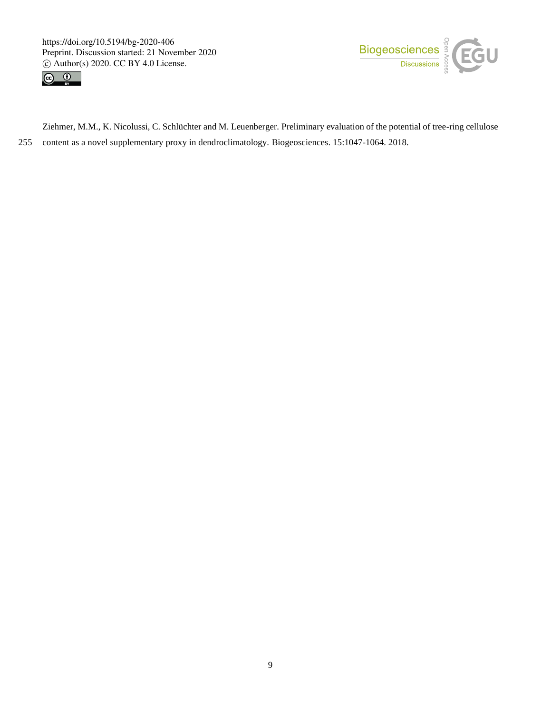![](_page_8_Picture_1.jpeg)

![](_page_8_Picture_2.jpeg)

Ziehmer, M.M., K. Nicolussi, C. Schlüchter and M. Leuenberger. Preliminary evaluation of the potential of tree-ring cellulose 255 content as a novel supplementary proxy in dendroclimatology. Biogeosciences. 15:1047-1064. 2018.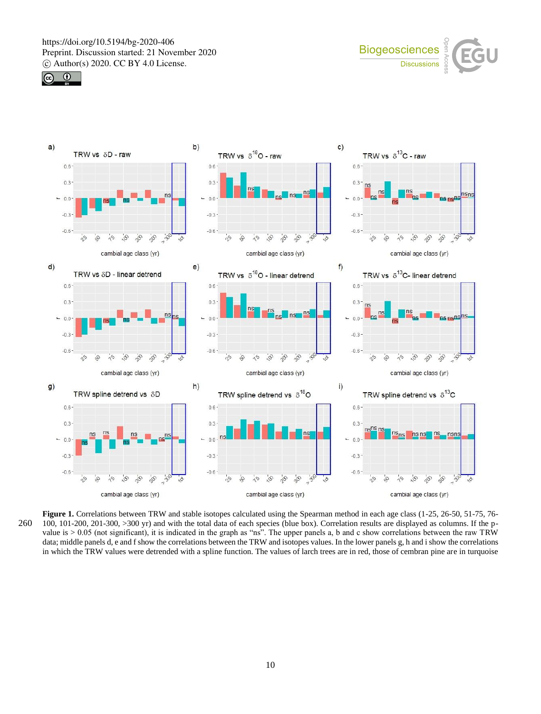![](_page_9_Picture_1.jpeg)

![](_page_9_Picture_2.jpeg)

![](_page_9_Figure_3.jpeg)

**Figure 1.** Correlations between TRW and stable isotopes calculated using the Spearman method in each age class (1-25, 26-50, 51-75, 76- 260 100, 101-200, 201-300, >300 yr) and with the total data of each species (blue box). Correlation results are displayed as columns. If the pvalue is  $> 0.05$  (not significant), it is indicated in the graph as "ns". The upper panels a, b and c show correlations between the raw TRW data; middle panels d, e and f show the correlations between the TRW and isotopes values. In the lower panels g, h and i show the correlations in which the TRW values were detrended with a spline function. The values of larch trees are in red, those of cembran pine are in turquoise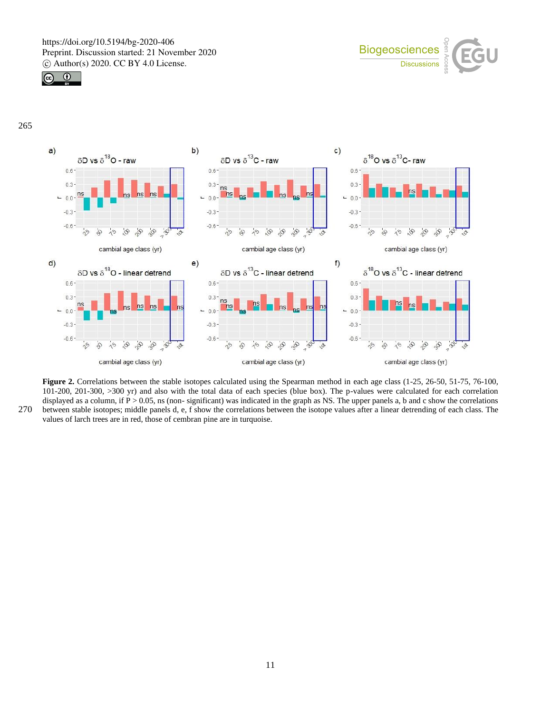![](_page_10_Picture_1.jpeg)

![](_page_10_Picture_2.jpeg)

![](_page_10_Figure_3.jpeg)

![](_page_10_Figure_4.jpeg)

**Figure 2.** Correlations between the stable isotopes calculated using the Spearman method in each age class (1-25, 26-50, 51-75, 76-100, 101-200, 201-300, >300 yr) and also with the total data of each species (blue box). The p-values were calculated for each correlation displayed as a column, if  $P > 0.05$ , ns (non-significant) was indicated in the graph as NS. The upper panels a, b and c show the correlations 270 between stable isotopes; middle panels d, e, f show the correlations between the isotope values after a linear detrending of each class. The values of larch trees are in red, those of cembran pine are in turquoise.

11